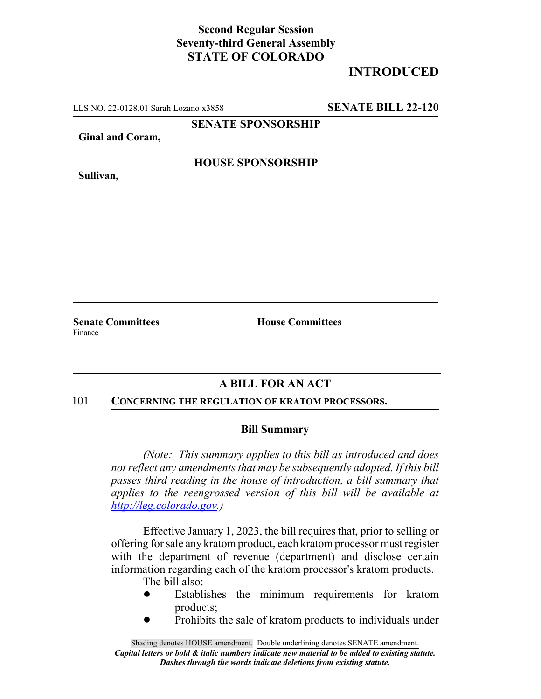## **Second Regular Session Seventy-third General Assembly STATE OF COLORADO**

# **INTRODUCED**

LLS NO. 22-0128.01 Sarah Lozano x3858 **SENATE BILL 22-120**

**SENATE SPONSORSHIP**

**Ginal and Coram,**

**HOUSE SPONSORSHIP**

**Sullivan,**

Finance

**Senate Committees House Committees** 

## **A BILL FOR AN ACT**

#### 101 **CONCERNING THE REGULATION OF KRATOM PROCESSORS.**

### **Bill Summary**

*(Note: This summary applies to this bill as introduced and does not reflect any amendments that may be subsequently adopted. If this bill passes third reading in the house of introduction, a bill summary that applies to the reengrossed version of this bill will be available at http://leg.colorado.gov.)*

Effective January 1, 2023, the bill requires that, prior to selling or offering for sale any kratom product, each kratom processor must register with the department of revenue (department) and disclose certain information regarding each of the kratom processor's kratom products.

The bill also:

- ! Establishes the minimum requirements for kratom products;
- Prohibits the sale of kratom products to individuals under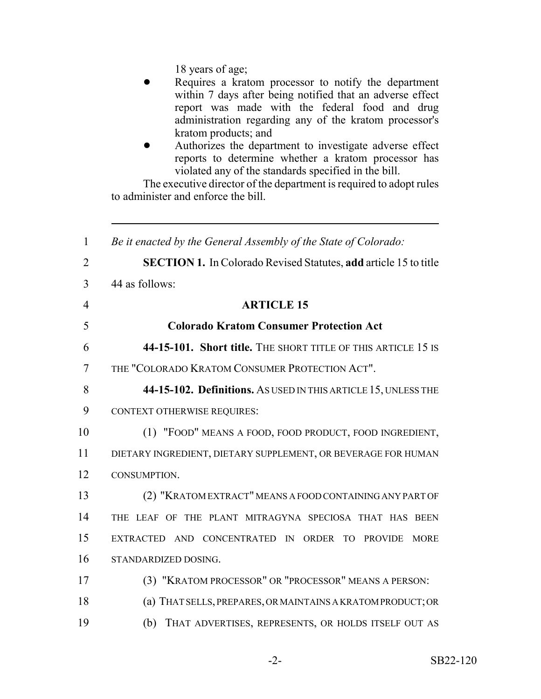18 years of age;

- Requires a kratom processor to notify the department within 7 days after being notified that an adverse effect report was made with the federal food and drug administration regarding any of the kratom processor's kratom products; and
- Authorizes the department to investigate adverse effect reports to determine whether a kratom processor has violated any of the standards specified in the bill.

The executive director of the department is required to adopt rules to administer and enforce the bill.

 *Be it enacted by the General Assembly of the State of Colorado:* **SECTION 1.** In Colorado Revised Statutes, **add** article 15 to title 44 as follows: **ARTICLE 15 Colorado Kratom Consumer Protection Act 44-15-101. Short title.** THE SHORT TITLE OF THIS ARTICLE 15 IS THE "COLORADO KRATOM CONSUMER PROTECTION ACT". **44-15-102. Definitions.** AS USED IN THIS ARTICLE 15, UNLESS THE CONTEXT OTHERWISE REQUIRES: (1) "FOOD" MEANS A FOOD, FOOD PRODUCT, FOOD INGREDIENT, DIETARY INGREDIENT, DIETARY SUPPLEMENT, OR BEVERAGE FOR HUMAN CONSUMPTION. (2) "KRATOM EXTRACT" MEANS A FOOD CONTAINING ANY PART OF THE LEAF OF THE PLANT MITRAGYNA SPECIOSA THAT HAS BEEN EXTRACTED AND CONCENTRATED IN ORDER TO PROVIDE MORE STANDARDIZED DOSING. (3) "KRATOM PROCESSOR" OR "PROCESSOR" MEANS A PERSON: (a) THAT SELLS, PREPARES, OR MAINTAINS A KRATOM PRODUCT; OR (b) THAT ADVERTISES, REPRESENTS, OR HOLDS ITSELF OUT AS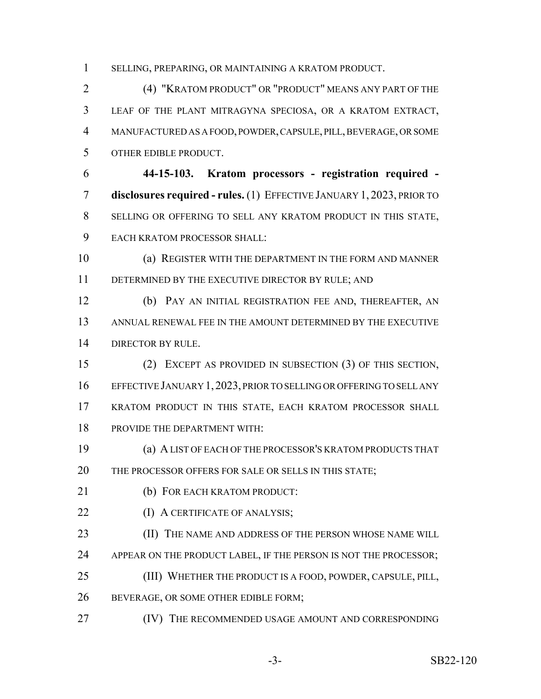SELLING, PREPARING, OR MAINTAINING A KRATOM PRODUCT.

 (4) "KRATOM PRODUCT" OR "PRODUCT" MEANS ANY PART OF THE LEAF OF THE PLANT MITRAGYNA SPECIOSA, OR A KRATOM EXTRACT, MANUFACTURED AS A FOOD, POWDER, CAPSULE, PILL, BEVERAGE, OR SOME OTHER EDIBLE PRODUCT.

 **44-15-103. Kratom processors - registration required - disclosures required - rules.** (1) EFFECTIVE JANUARY 1, 2023, PRIOR TO SELLING OR OFFERING TO SELL ANY KRATOM PRODUCT IN THIS STATE, EACH KRATOM PROCESSOR SHALL:

 (a) REGISTER WITH THE DEPARTMENT IN THE FORM AND MANNER 11 DETERMINED BY THE EXECUTIVE DIRECTOR BY RULE; AND

 (b) PAY AN INITIAL REGISTRATION FEE AND, THEREAFTER, AN ANNUAL RENEWAL FEE IN THE AMOUNT DETERMINED BY THE EXECUTIVE DIRECTOR BY RULE.

 (2) EXCEPT AS PROVIDED IN SUBSECTION (3) OF THIS SECTION, EFFECTIVE JANUARY 1,2023, PRIOR TO SELLING OR OFFERING TO SELL ANY KRATOM PRODUCT IN THIS STATE, EACH KRATOM PROCESSOR SHALL PROVIDE THE DEPARTMENT WITH:

 (a) A LIST OF EACH OF THE PROCESSOR'S KRATOM PRODUCTS THAT 20 THE PROCESSOR OFFERS FOR SALE OR SELLS IN THIS STATE;

21 (b) FOR EACH KRATOM PRODUCT:

**(I) A CERTIFICATE OF ANALYSIS;** 

**(II) THE NAME AND ADDRESS OF THE PERSON WHOSE NAME WILL** 

24 APPEAR ON THE PRODUCT LABEL, IF THE PERSON IS NOT THE PROCESSOR;

(III) WHETHER THE PRODUCT IS A FOOD, POWDER, CAPSULE, PILL,

26 BEVERAGE, OR SOME OTHER EDIBLE FORM;

**(IV)** THE RECOMMENDED USAGE AMOUNT AND CORRESPONDING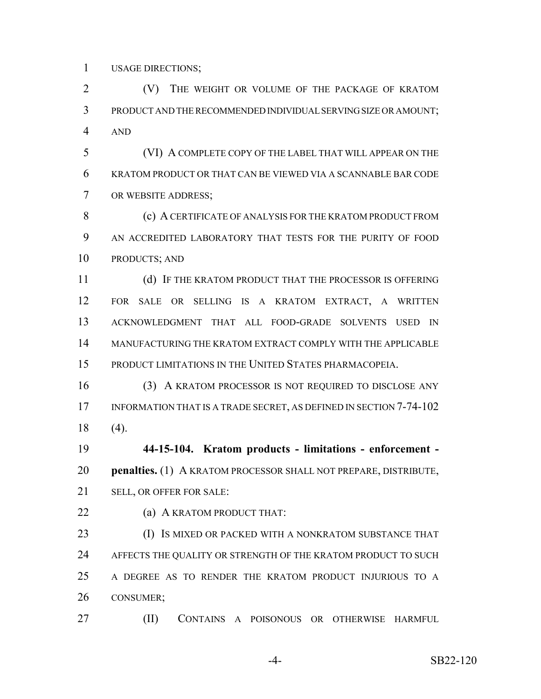USAGE DIRECTIONS;

 (V) THE WEIGHT OR VOLUME OF THE PACKAGE OF KRATOM PRODUCT AND THE RECOMMENDED INDIVIDUAL SERVING SIZE OR AMOUNT; AND

 (VI) A COMPLETE COPY OF THE LABEL THAT WILL APPEAR ON THE KRATOM PRODUCT OR THAT CAN BE VIEWED VIA A SCANNABLE BAR CODE OR WEBSITE ADDRESS;

 (c) A CERTIFICATE OF ANALYSIS FOR THE KRATOM PRODUCT FROM AN ACCREDITED LABORATORY THAT TESTS FOR THE PURITY OF FOOD PRODUCTS; AND

 (d) IF THE KRATOM PRODUCT THAT THE PROCESSOR IS OFFERING FOR SALE OR SELLING IS A KRATOM EXTRACT, A WRITTEN ACKNOWLEDGMENT THAT ALL FOOD-GRADE SOLVENTS USED IN MANUFACTURING THE KRATOM EXTRACT COMPLY WITH THE APPLICABLE PRODUCT LIMITATIONS IN THE UNITED STATES PHARMACOPEIA.

 (3) A KRATOM PROCESSOR IS NOT REQUIRED TO DISCLOSE ANY 17 INFORMATION THAT IS A TRADE SECRET, AS DEFINED IN SECTION 7-74-102 (4).

 **44-15-104. Kratom products - limitations - enforcement - penalties.** (1) A KRATOM PROCESSOR SHALL NOT PREPARE, DISTRIBUTE, SELL, OR OFFER FOR SALE:

**(a) A KRATOM PRODUCT THAT:** 

**(I) IS MIXED OR PACKED WITH A NONKRATOM SUBSTANCE THAT** 24 AFFECTS THE QUALITY OR STRENGTH OF THE KRATOM PRODUCT TO SUCH A DEGREE AS TO RENDER THE KRATOM PRODUCT INJURIOUS TO A CONSUMER;

(II) CONTAINS A POISONOUS OR OTHERWISE HARMFUL

-4- SB22-120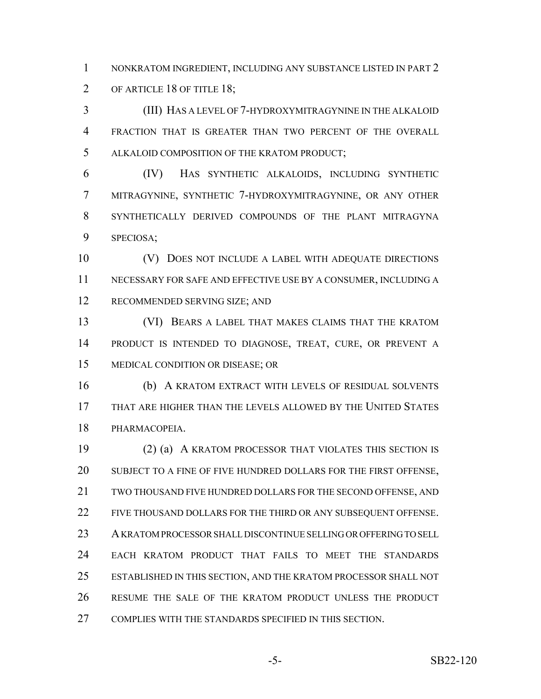NONKRATOM INGREDIENT, INCLUDING ANY SUBSTANCE LISTED IN PART 2 OF ARTICLE 18 OF TITLE 18;

 (III) HAS A LEVEL OF 7-HYDROXYMITRAGYNINE IN THE ALKALOID FRACTION THAT IS GREATER THAN TWO PERCENT OF THE OVERALL ALKALOID COMPOSITION OF THE KRATOM PRODUCT;

 (IV) HAS SYNTHETIC ALKALOIDS, INCLUDING SYNTHETIC MITRAGYNINE, SYNTHETIC 7-HYDROXYMITRAGYNINE, OR ANY OTHER SYNTHETICALLY DERIVED COMPOUNDS OF THE PLANT MITRAGYNA SPECIOSA;

 (V) DOES NOT INCLUDE A LABEL WITH ADEQUATE DIRECTIONS NECESSARY FOR SAFE AND EFFECTIVE USE BY A CONSUMER, INCLUDING A RECOMMENDED SERVING SIZE; AND

 (VI) BEARS A LABEL THAT MAKES CLAIMS THAT THE KRATOM PRODUCT IS INTENDED TO DIAGNOSE, TREAT, CURE, OR PREVENT A MEDICAL CONDITION OR DISEASE; OR

 (b) A KRATOM EXTRACT WITH LEVELS OF RESIDUAL SOLVENTS THAT ARE HIGHER THAN THE LEVELS ALLOWED BY THE UNITED STATES PHARMACOPEIA.

 (2) (a) A KRATOM PROCESSOR THAT VIOLATES THIS SECTION IS 20 SUBJECT TO A FINE OF FIVE HUNDRED DOLLARS FOR THE FIRST OFFENSE, TWO THOUSAND FIVE HUNDRED DOLLARS FOR THE SECOND OFFENSE, AND 22 FIVE THOUSAND DOLLARS FOR THE THIRD OR ANY SUBSEQUENT OFFENSE. A KRATOM PROCESSOR SHALL DISCONTINUE SELLING OR OFFERING TO SELL EACH KRATOM PRODUCT THAT FAILS TO MEET THE STANDARDS ESTABLISHED IN THIS SECTION, AND THE KRATOM PROCESSOR SHALL NOT RESUME THE SALE OF THE KRATOM PRODUCT UNLESS THE PRODUCT COMPLIES WITH THE STANDARDS SPECIFIED IN THIS SECTION.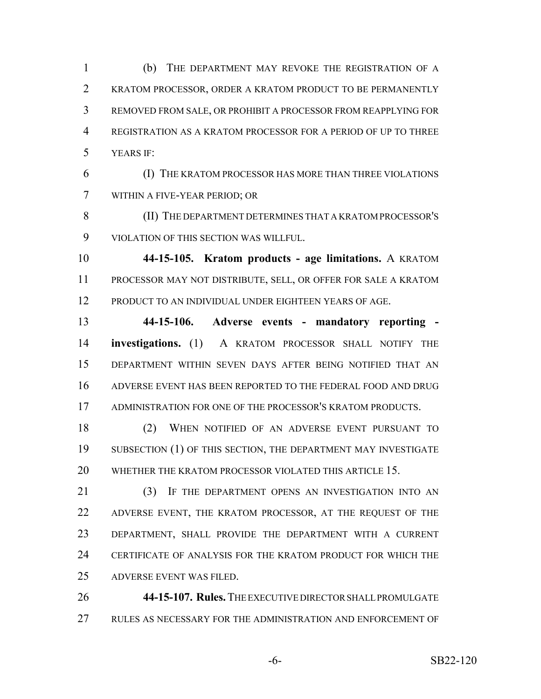(b) THE DEPARTMENT MAY REVOKE THE REGISTRATION OF A KRATOM PROCESSOR, ORDER A KRATOM PRODUCT TO BE PERMANENTLY REMOVED FROM SALE, OR PROHIBIT A PROCESSOR FROM REAPPLYING FOR REGISTRATION AS A KRATOM PROCESSOR FOR A PERIOD OF UP TO THREE YEARS IF:

 (I) THE KRATOM PROCESSOR HAS MORE THAN THREE VIOLATIONS WITHIN A FIVE-YEAR PERIOD; OR

 (II) THE DEPARTMENT DETERMINES THAT A KRATOM PROCESSOR'S VIOLATION OF THIS SECTION WAS WILLFUL.

 **44-15-105. Kratom products - age limitations.** A KRATOM PROCESSOR MAY NOT DISTRIBUTE, SELL, OR OFFER FOR SALE A KRATOM PRODUCT TO AN INDIVIDUAL UNDER EIGHTEEN YEARS OF AGE.

 **44-15-106. Adverse events - mandatory reporting - investigations.** (1) A KRATOM PROCESSOR SHALL NOTIFY THE DEPARTMENT WITHIN SEVEN DAYS AFTER BEING NOTIFIED THAT AN ADVERSE EVENT HAS BEEN REPORTED TO THE FEDERAL FOOD AND DRUG ADMINISTRATION FOR ONE OF THE PROCESSOR'S KRATOM PRODUCTS.

 (2) WHEN NOTIFIED OF AN ADVERSE EVENT PURSUANT TO 19 SUBSECTION (1) OF THIS SECTION, THE DEPARTMENT MAY INVESTIGATE 20 WHETHER THE KRATOM PROCESSOR VIOLATED THIS ARTICLE 15.

21 (3) IF THE DEPARTMENT OPENS AN INVESTIGATION INTO AN 22 ADVERSE EVENT, THE KRATOM PROCESSOR, AT THE REQUEST OF THE DEPARTMENT, SHALL PROVIDE THE DEPARTMENT WITH A CURRENT CERTIFICATE OF ANALYSIS FOR THE KRATOM PRODUCT FOR WHICH THE ADVERSE EVENT WAS FILED.

 **44-15-107. Rules.** THE EXECUTIVE DIRECTOR SHALL PROMULGATE RULES AS NECESSARY FOR THE ADMINISTRATION AND ENFORCEMENT OF